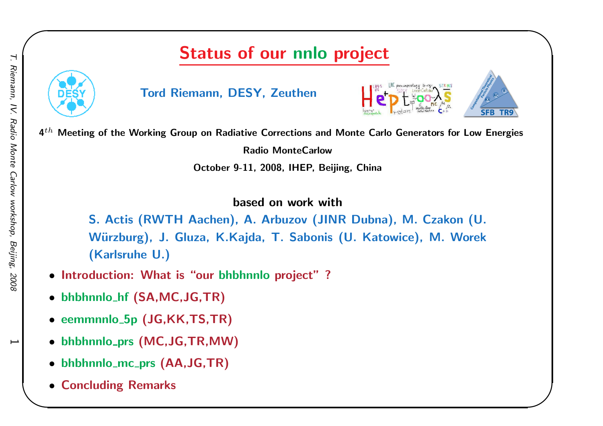## Status of our nnlo project



Tord Riemann, DESY, Zeuthen





 $\begin{matrix} \hline \end{matrix}$ 

 $\mathbf{4}^{th}$  Meeting of the Working Group on Radiative Corrections and Monte Carlo Generators for Low Energies

Radio MonteCarlow

October 9-11, 2008, IHEP, Beijing, China

based on work with

S. Actis (RWTH Aachen), A. Arbuzov (JINR Dubna), M. Czakon (U. Würzburg), J. Gluza, K.Kajda, T. Sabonis (U. Katowice), M. Worek (Karlsruhe U.)

- Introduction: What is "our bhbhnnlo project" ?
- bhbhnnlo\_hf (SA,MC,JG,TR)
- eemmnnlo 5p (JG,KK,TS,TR)
- bhbhnnlo prs (MC,JG,TR,MW)
- bhbhnnlo $_{\rm -mc\_prs}$  (AA,JG,TR)
- Concluding Remarks

 $\overline{\phantom{0}}$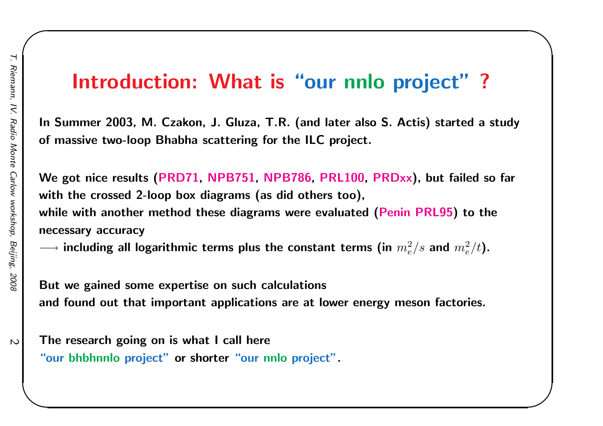# Introduction: What is "our nnlo project"?

 $\begin{matrix} \hline \end{matrix}$ 

In Summer 2003, M. Czakon, J. Gluza, T.R. (and later also S. Actis) started <sup>a</sup> studyof massive two-loop Bhabha scattering for the ILC project.

We got nice results (PRD71, NPB751, NPB786, PRL100, PRDxx), but failed so far with the crossed 2-loop box diagrams (as did others too), while with another method these diagrams were evaluated (Penin PRL95) to the necessary accuracy

 $\longrightarrow$  including all logarithmic terms plus the constant terms (in  $m_e^2/s$  and  $m_e^2/t$ ).

But we gained some expertise on such calculationsand found out that important applications are at lower energy meson factories.

The research going on is what I call here "our bhbhnnlo project" or shorter "our nnlo project".

 $\overline{\mathsf{C}}$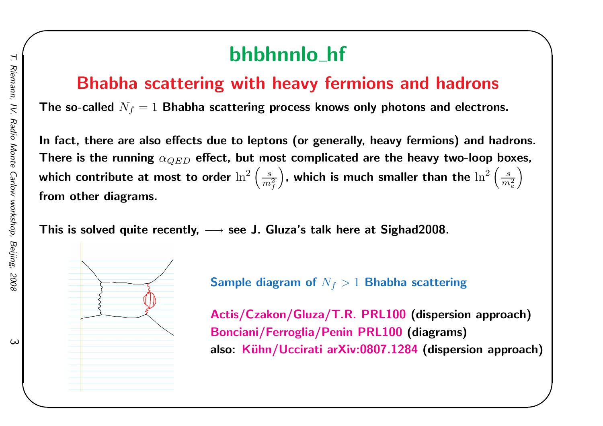# bhbhnnlo<sub>-</sub>hf

### Bhabha scattering with heavy fermions and hadrons

The so-called  $N_f = 1$  Bhabha scattering process knows only photons and electrons.

In fact, there are also effects due to leptons (or generally, heavy fermions) and hadrons. There is the running  $\alpha_{QED}$  effect, but most complicated are the heavy two-loop boxes, which contribute at most to order  $\ln$ 2  $\left(\frac{s}{m_f^2}\right)$ , which is much smaller than the  $\ln^2$  $\left(\frac{s}{m_e^2}\right)$ from other diagrams.

This is solved quite recently,  $\longrightarrow$  see J. Gluza's talk here at Sighad2008.



Actis/Czakon/Gluza/T.R. PRL100 (dispersion approach) Bonciani/Ferroglia/Penin PRL100 (diagrams) also: Kühn/Uccirati arXiv:0807.1284 (dispersion approach)

 $\begin{matrix} \hline \end{matrix}$ 

 $\omega$ 

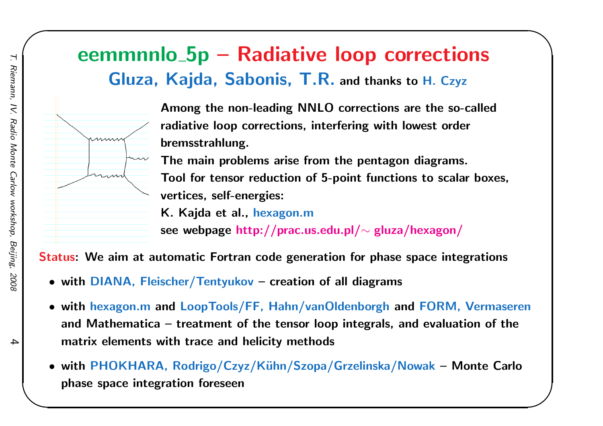### eemmnnlo 5p – Radiative loop corrections Gluza, Kajda, Sabonis, T.R. and thanks to H. Czyz



Among the non-leading NNLO corrections are the so-calledradiative loop corrections, interfering with lowest orderbremsstrahlung.

 $\begin{matrix} \hline \end{matrix}$ 

The main problems arise from the pentagon diagrams. Tool for tensor reduction of 5-point functions to scalar boxes, vertices, self-energies:

K. Kajda et al., hexagon.m

see webpage http://prac.us.edu.pl/ $\sim$  gluza/hexagon/

Status: We aim at automatic Fortran code generation for phase space integrations

- with DIANA, Fleischer/Tentyukov creation of all diagrams
- with hexagon.m and LoopTools/FF, Hahn/vanOldenborgh and FORM, Vermaseren and Mathematica – treatment of the tensor loop integrals, and evaluation of thematrix elements with trace and helicity methods
- with PHOKHARA, Rodrigo/Czyz/K¨uhn/Szopa/Grzelinska/Nowak Monte Carlo phase space integration foreseen

4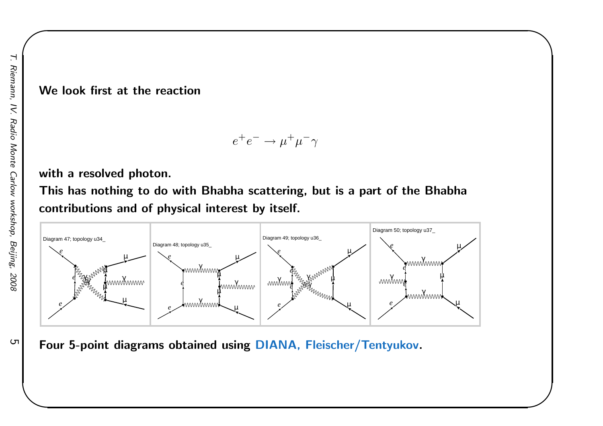#### We look first at the reaction

$$
e^+e^- \to \mu^+\mu^-\gamma
$$

 $\begin{matrix} \hline \end{matrix}$ 

#### with <sup>a</sup> resolved photon.

This has nothing to do with Bhabha scattering, but is <sup>a</sup> part of the Bhabhacontributions and of physical interest by itself.



Four 5-point diagrams obtained using DIANA, Fleischer/Tentyukov.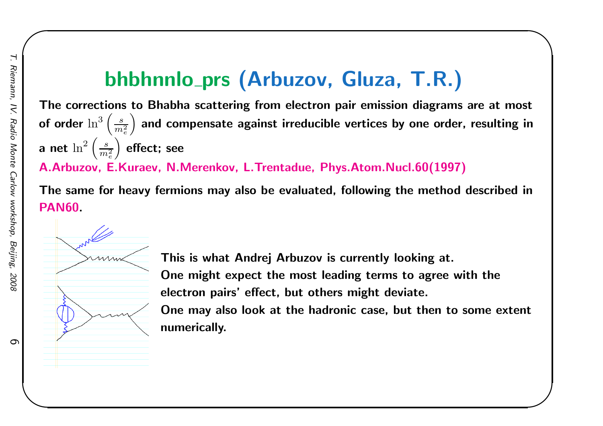# bhbhnnlo<sub>–</sub>prs (Arbuzov, Gluza, T.R.)

The corrections to Bhabha scattering from electron pair emission diagrams are at mostof order  $\ln^3\left(\frac{s}{m_*^2}\right)$  and compensate against irreducible vertices by one order, resulting i $\ln$  $\left(\frac{s}{m_e^2}\right)$  and compensate against irreducible vertices by one order, resulting in a net  $\ln^2$  A.Arbuzov, E.Kuraev, N.Merenkov, L.Trentadue, Phys.Atom.Nucl.60(1997) $\left(\frac{s}{m_e^2}\right)$  effect; see

The same for heavy fermions may also be evaluated, following the method described in

PAN60.



This is what Andrej Arbuzov is currently looking at. One might expect the most leading terms to agree with theelectron pairs' effect, but others might deviate. One may also look at the hadronic case, but then to some extentnumerically.

 $\begin{matrix} \hline \end{matrix}$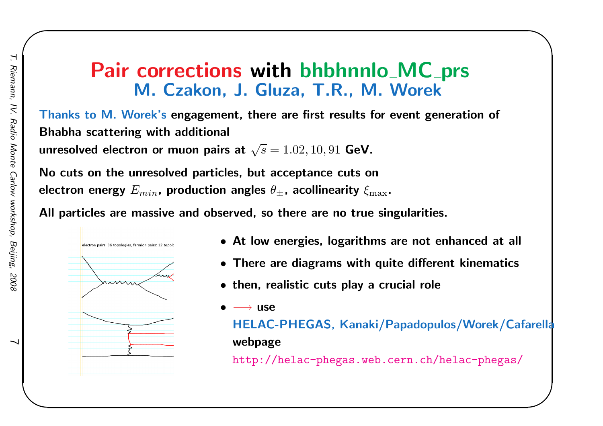### **Pair corrections with bhbhnnlo MC prs<br>M. Czakon, L. Gluza, T. R. M. Worek** M. Czakon, J. Gluza, T.R., M. Worek

Thanks to M. Worek's engagement, there are first results for event generation of Bhabha scattering with additional

unresolved electron or muon pairs at  $\sqrt{s}=1.02,10,91$  GeV.

No cuts on the unresolved particles, but acceptance cuts onelectron energy  $E_{min}$ , production angles  $\theta_\pm$ , acollinearity  $\xi_{\rm max}$ .

All particles are massive and observed, so there are no true singularities.



- At low energies, logarithms are not enhanced at all
- There are diagrams with quite different kinematics
- then, realistic cuts play <sup>a</sup> crucial role

•−→ use

HELAC-PHEGAS, Kanaki/Papadopulos/Worek/Cafarellawebpage

 $\begin{matrix} \hline \end{matrix}$ 

http://helac-phegas.web.cern.ch/helac-phegas/

 $\overline{\phantom{0}}$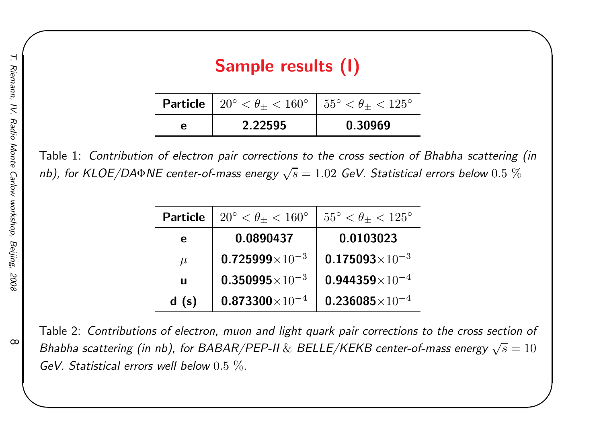| Sample results (I) |  |
|--------------------|--|
|                    |  |

 $\begin{matrix} \hline \end{matrix}$ 

| <b>Particle</b>   $20^{\circ} < \theta_{+} < 160^{\circ}$   $55^{\circ} < \theta_{+} < 125^{\circ}$ |         |
|-----------------------------------------------------------------------------------------------------|---------|
| 2.22595                                                                                             | 0.30969 |

Table 1: Contribution of electron pair corrections to the cross section of Bhabha scattering (innb), for KLOE/DA $\Phi$ NE center-of-mass energy  $\sqrt{s}=1.02$  GeV. Statistical errors below  $0.5~\%$ 

| <b>Particle</b> | $20^{\circ} < \theta_{+} < 160^{\circ}$ | $55^{\circ} < \theta_{+} < 125^{\circ}$ |
|-----------------|-----------------------------------------|-----------------------------------------|
|                 |                                         |                                         |
| e               | 0.0890437                               | 0.0103023                               |
| $\mu$           | $0.725999\times10^{-3}$                 | $0.175093\times10^{-3}$                 |
| $\mathbf{u}$    | $0.350995\times10^{-3}$                 | $0.944359\times10^{-4}$                 |
| d(s)            | $0.873300\times10^{-4}$                 | $0.236085\times10^{-4}$                 |

Table 2: Contributions of electron, muon and light quark pair corrections to the cross section of Bhabha scattering (in nb), for BABAR/PEP-II  $\&$  BELLE/KEKB center-of-mass energy  $\sqrt{s}=10$ GeV. Statistical errors well below  $0.5\ \%$ .

 $\infty$